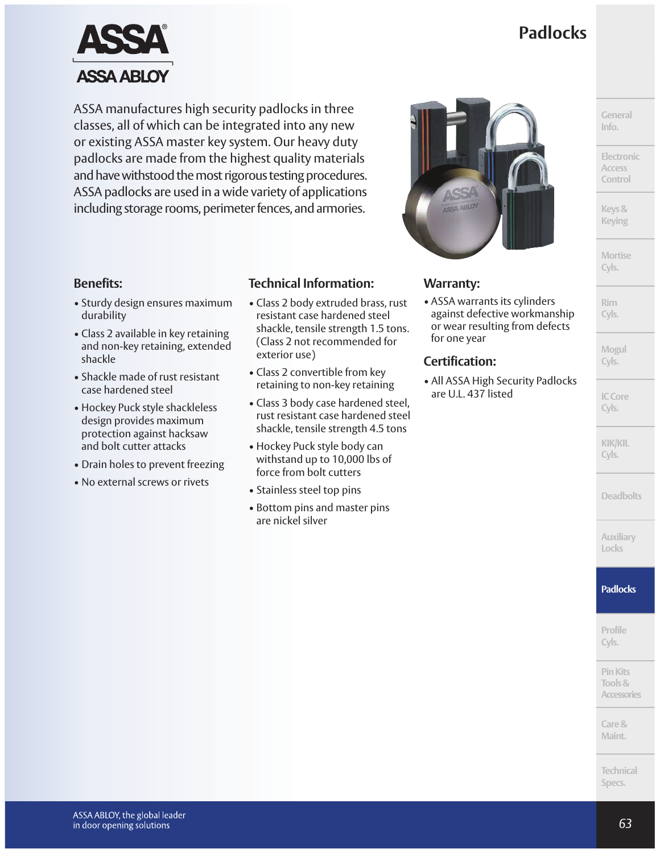# **Padlocks**



ASSA manufactures high security padlocks in three classes, all of which can be integrated into any new or existing ASSA master key system. Our heavy duty padlocks are made from the highest quality materials and have withstood the most rigorous testing procedures. ASSA padlocks are used in a wide variety of applications including storage rooms, perimeter fences, and armories.

#### **Benefits:**

- Sturdy design ensures maximum durability
- Class 2 available in key retaining and non-key retaining, extended shackle
- Shackle made of rust resistant case hardened steel
- Hockey Puck style shackleless design provides maximum protection against hacksaw and bolt cutter attacks
- Drain holes to prevent freezing
- No external screws or rivets

#### **Technical Information:**

- Class 2 body extruded brass, rust resistant case hardened steel shackle, tensile strength 1.5 tons. (Class 2 not recommended for exterior use)
- Class 2 convertible from key retaining to non-key retaining
- Class 3 body case hardened steel, rust resistant case hardened steel shackle, tensile strength 4.5 tons
- Hockey Puck style body can withstand up to 10,000 lbs of force from bolt cutters
- Stainless steel top pins
- Bottom pins and master pins are nickel silver



#### **Warranty:**

• ASSA warrants its cylinders against defective workmanship or wear resulting from defects for one year

#### **Certification:**

• All ASSA High Security Padlocks are U.L. 437 listed

**General Info.**

**Electronic Access Control**

**Keys& Keying**

**Mortise Cyls.**

**Rim Cyls.**

**Mogul Cyls.**

**ICCore Cyls.**

**KIK/KIL Cyls.**

**Deadbolts**

**Auxiliary Locks**

#### **Padlocks**

**Profile Cyls.**

**PinKits Tools& Accessories**

**Care& Maint.**

**Technical Specs.**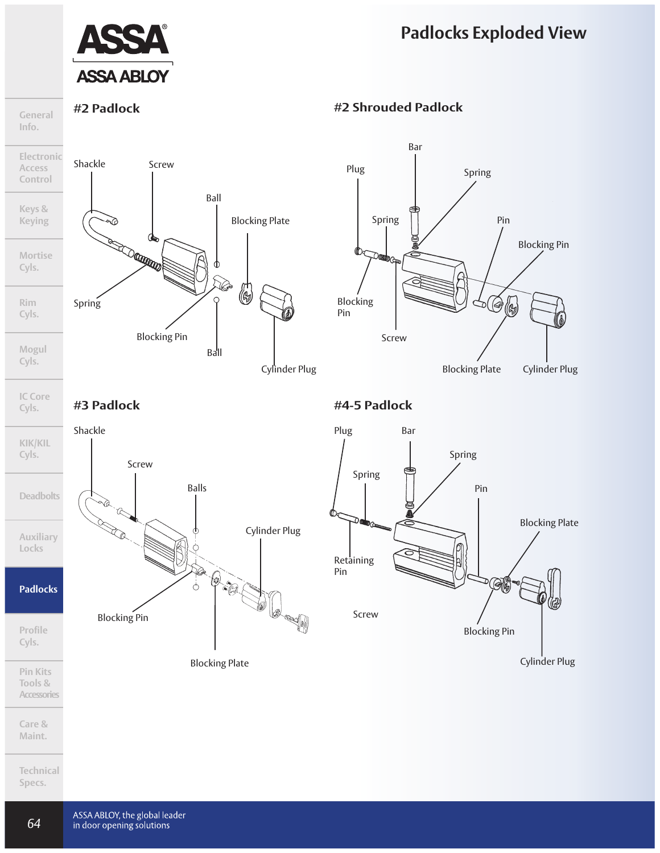## **Padlocks Exploded View**



**General Info.**

**Cyls.**



#### **#2 Padlock #2 Shrouded Padlock**



#### **#3 Padlock #4-5 Padlock**



**Maint.**

**Technical Specs.**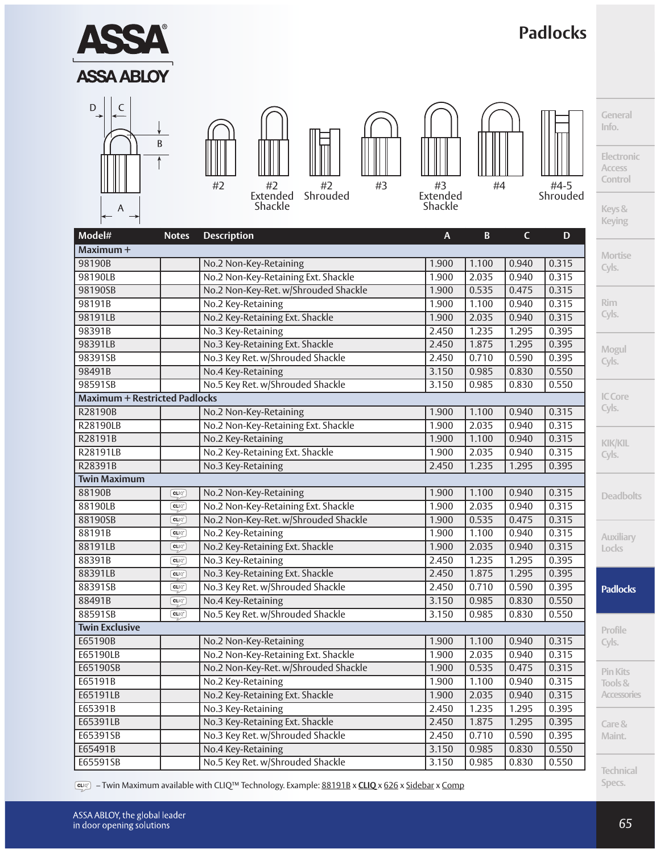

– Twin Maximum available with CLIQ™ Technology. Example: 88191B x **CLIQ** x 626 x Sidebar x Comp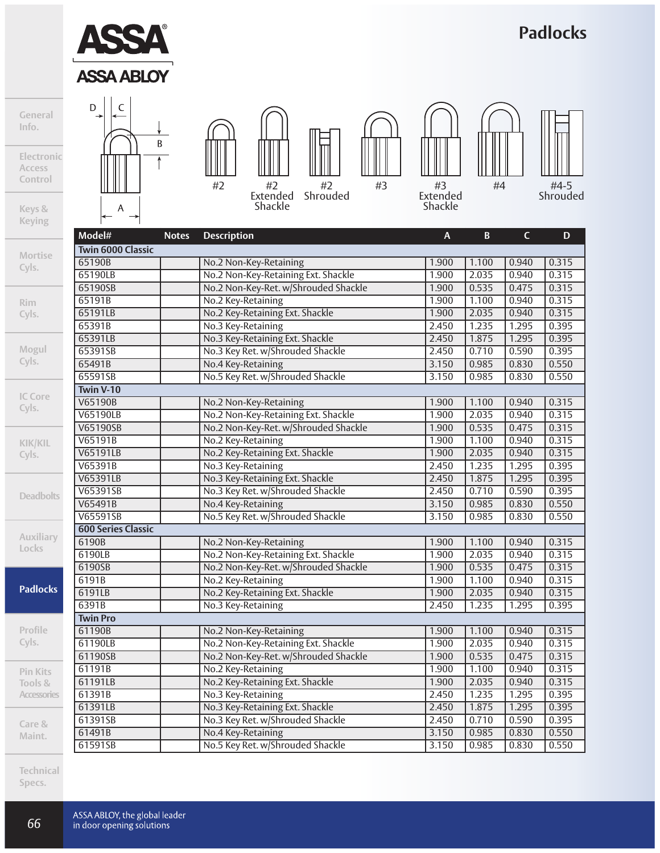

# **Padlocks**

**General Info.**

**Electronic Access Control**

**Keys & Keying**

**Mortise Cyls.**

**Rim Cyls.**

**Mogul**

**Cyls.**

**IC Core Cyls.**

**KIK/KIL Cyls.**

**Deadbo** 

**Auxilia** 

**Locks**

**Padlock** 

**Profile Cyls.**

**Pin Kits Tools & Accessor** 

**Care & Maint.**

**Technical Specs.**



 $\mathsf A$ 



Extended Shackle Shrouded

#2





Extended Shackle



#4-5 Shrouded

| Model#                    | <b>Notes</b> | <b>Description</b>                   | $\overline{A}$ | B.    | $\mathsf{C}$ | D     |
|---------------------------|--------------|--------------------------------------|----------------|-------|--------------|-------|
| <b>Twin 6000 Classic</b>  |              |                                      |                |       |              |       |
| 65190B                    |              | No.2 Non-Key-Retaining               | 1.900          | 1.100 | 0.940        | 0.315 |
| 65190LB                   |              | No.2 Non-Key-Retaining Ext. Shackle  | 1.900          | 2.035 | 0.940        | 0.315 |
| 65190SB                   |              | No.2 Non-Key-Ret. w/Shrouded Shackle | 1.900          | 0.535 | 0.475        | 0.315 |
| 65191B                    |              | No.2 Key-Retaining                   | 1.900          | 1.100 | 0.940        | 0.315 |
| 65191LB                   |              | No.2 Key-Retaining Ext. Shackle      | 1.900          | 2.035 | 0.940        | 0.315 |
| 65391B                    |              | No.3 Key-Retaining                   | 2.450          | 1.235 | 1.295        | 0.395 |
| 65391LB                   |              | No.3 Key-Retaining Ext. Shackle      | 2.450          | 1.875 | 1.295        | 0.395 |
| 65391SB                   |              | No.3 Key Ret. w/Shrouded Shackle     | 2.450          | 0.710 | 0.590        | 0.395 |
| 65491B                    |              | No.4 Key-Retaining                   | 3.150          | 0.985 | 0.830        | 0.550 |
| 65591SB                   |              | No.5 Key Ret. w/Shrouded Shackle     | 3.150          | 0.985 | 0.830        | 0.550 |
| Twin V-10                 |              |                                      |                |       |              |       |
| V65190B                   |              | No.2 Non-Key-Retaining               | 1.900          | 1.100 | 0.940        | 0.315 |
| <b>V65190LB</b>           |              | No.2 Non-Key-Retaining Ext. Shackle  | 1.900          | 2.035 | 0.940        | 0.315 |
| V65190SB                  |              | No.2 Non-Key-Ret. w/Shrouded Shackle | 1.900          | 0.535 | 0.475        | 0.315 |
| V65191B                   |              | No.2 Key-Retaining                   | 1.900          | 1.100 | 0.940        | 0.315 |
| V65191LB                  |              | No.2 Key-Retaining Ext. Shackle      | 1.900          | 2.035 | 0.940        | 0.315 |
| V65391B                   |              | No.3 Key-Retaining                   | 2.450          | 1.235 | 1.295        | 0.395 |
| V65391LB                  |              | No.3 Key-Retaining Ext. Shackle      | 2.450          | 1.875 | 1.295        | 0.395 |
| V65391SB                  |              | No.3 Key Ret. w/Shrouded Shackle     | 2.450          | 0.710 | 0.590        | 0.395 |
| V65491B                   |              | No.4 Key-Retaining                   | 3.150          | 0.985 | 0.830        | 0.550 |
| V65591SB                  |              | No.5 Key Ret. w/Shrouded Shackle     | 3.150          | 0.985 | 0.830        | 0.550 |
| <b>600 Series Classic</b> |              |                                      |                |       |              |       |
| 6190B                     |              | No.2 Non-Key-Retaining               | 1.900          | 1.100 | 0.940        | 0.315 |
| 6190LB                    |              | No.2 Non-Key-Retaining Ext. Shackle  | 1.900          | 2.035 | 0.940        | 0.315 |
| 6190SB                    |              | No.2 Non-Key-Ret. w/Shrouded Shackle | 1.900          | 0.535 | 0.475        | 0.315 |
| 6191B                     |              | No.2 Key-Retaining                   | 1.900          | 1.100 | 0.940        | 0.315 |
| 6191LB                    |              | No.2 Key-Retaining Ext. Shackle      | 1.900          | 2.035 | 0.940        | 0.315 |
| 6391B                     |              | No.3 Key-Retaining                   | 2.450          | 1.235 | 1.295        | 0.395 |
| <b>Twin Pro</b>           |              |                                      |                |       |              |       |
| 61190B                    |              | No.2 Non-Key-Retaining               | 1.900          | 1.100 | 0.940        | 0.315 |
| 61190LB                   |              | No.2 Non-Key-Retaining Ext. Shackle  | 1.900          | 2.035 | 0.940        | 0.315 |
| 61190SB                   |              | No.2 Non-Key-Ret. w/Shrouded Shackle | 1.900          | 0.535 | 0.475        | 0.315 |
| 61191B                    |              | No.2 Key-Retaining                   | 1.900          | 1.100 | 0.940        | 0.315 |
| 61191LB                   |              | No.2 Key-Retaining Ext. Shackle      | 1.900          | 2.035 | 0.940        | 0.315 |
| 61391B                    |              | No.3 Key-Retaining                   | 2.450          | 1.235 | 1.295        | 0.395 |
| 61391LB                   |              | No.3 Key-Retaining Ext. Shackle      | 2.450          | 1.875 | 1.295        | 0.395 |
| 61391SB                   |              | No.3 Key Ret. w/Shrouded Shackle     | 2.450          | 0.710 | 0.590        | 0.395 |
| 61491B                    |              | No.4 Key-Retaining                   | 3.150          | 0.985 | 0.830        | 0.550 |
| 61591SB                   |              | No.5 Key Ret. w/Shrouded Shackle     | 3.150          | 0.985 | 0.830        | 0.550 |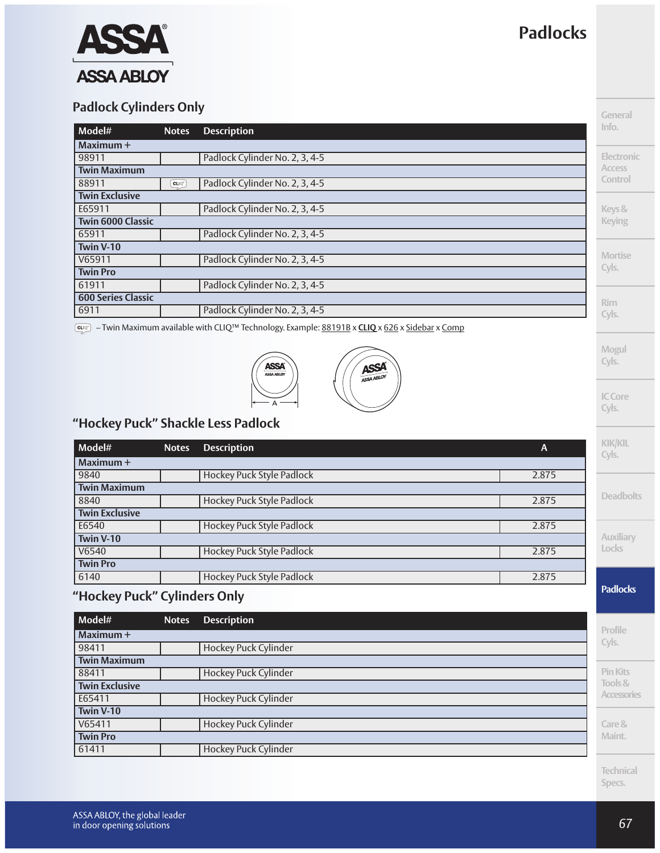

## **Padlock Cylinders Only**

| <b>QUIVER CYBILIGETS OTHY</b> |                                                                 |                                |                   |
|-------------------------------|-----------------------------------------------------------------|--------------------------------|-------------------|
| Model#                        | <b>Notes</b>                                                    | <b>Description</b>             | Info.             |
| l Maximum +                   |                                                                 |                                |                   |
| 98911                         |                                                                 | Padlock Cylinder No. 2, 3, 4-5 | <b>Electronic</b> |
| <b>Twin Maximum</b>           |                                                                 |                                | <b>Access</b>     |
| 88911                         | $\mathsf{C}\mathsf{L} \hspace{-1pt}\mid\hspace{-1pt}\mathbb{Q}$ | Padlock Cylinder No. 2, 3, 4-5 | Control           |
| <b>Twin Exclusive</b>         |                                                                 |                                |                   |
| E65911                        |                                                                 | Padlock Cylinder No. 2, 3, 4-5 | Keys &            |
| <b>Twin 6000 Classic</b>      |                                                                 |                                | <b>Keying</b>     |
| 65911                         |                                                                 | Padlock Cylinder No. 2, 3, 4-5 |                   |
| Twin V-10                     |                                                                 |                                |                   |
| V65911                        |                                                                 | Padlock Cylinder No. 2, 3, 4-5 | <b>Mortise</b>    |
| <b>Twin Pro</b>               |                                                                 |                                | Cyls.             |
| 61911                         |                                                                 | Padlock Cylinder No. 2, 3, 4-5 |                   |
| <b>600 Series Classic</b>     |                                                                 |                                | Rim               |
| 6911                          |                                                                 | Padlock Cylinder No. 2, 3, 4-5 | Cyls.             |

– Twin Maximum available with CLIQ™ Technology. Example: 88191B x **CLIQ** x 626 x Sidebar x Comp



## **"Hockey Puck" Shackle Less Padlock**

| Model#                                | <b>Notes</b> | <b>Description</b>               | A     | <b>KIK/KIL</b><br>Cyls. |
|---------------------------------------|--------------|----------------------------------|-------|-------------------------|
| Maximum +                             |              |                                  |       |                         |
| 9840                                  |              | <b>Hockey Puck Style Padlock</b> | 2.875 |                         |
| <b>Twin Maximum</b>                   |              |                                  |       |                         |
| 8840                                  |              | <b>Hockey Puck Style Padlock</b> | 2.875 | <b>Deadbolts</b>        |
| <b>Twin Exclusive</b>                 |              |                                  |       |                         |
| E6540                                 |              | <b>Hockey Puck Style Padlock</b> | 2.875 |                         |
| Twin V-10                             |              |                                  |       | Auxiliary               |
| V6540                                 |              | <b>Hockey Puck Style Padlock</b> | 2.875 | Locks                   |
| <b>Twin Pro</b>                       |              |                                  |       |                         |
| 6140                                  |              | <b>Hockey Puck Style Padlock</b> | 2.875 |                         |
| $U$ leckov $D$ uch $U$ Culindove Only |              |                                  |       | <b>Padlocks</b>         |

## **"Hockey Puck" Cylinders Only**

| Model#                | <b>Notes</b> | <b>Description</b>          |                 |
|-----------------------|--------------|-----------------------------|-----------------|
| Maximum +             |              |                             | Profile         |
| 98411                 |              | Hockey Puck Cylinder        | Cyls.           |
| <b>Twin Maximum</b>   |              |                             |                 |
| 88411                 |              | <b>Hockey Puck Cylinder</b> | <b>Pin Kits</b> |
| <b>Twin Exclusive</b> |              |                             | Tools &         |
| E65411                |              | <b>Hockey Puck Cylinder</b> | Accessori       |
| Twin V-10             |              |                             |                 |
| V65411                |              | Hockey Puck Cylinder        | Care &          |
| <b>Twin Pro</b>       |              |                             | Maint.          |
| 61411                 |              | Hockey Puck Cylinder        |                 |

**Technical Specs.**

**Accessories**

**Mogul Cyls.**

Ξ

**ICCore Cyls.**

# **Padlocks**